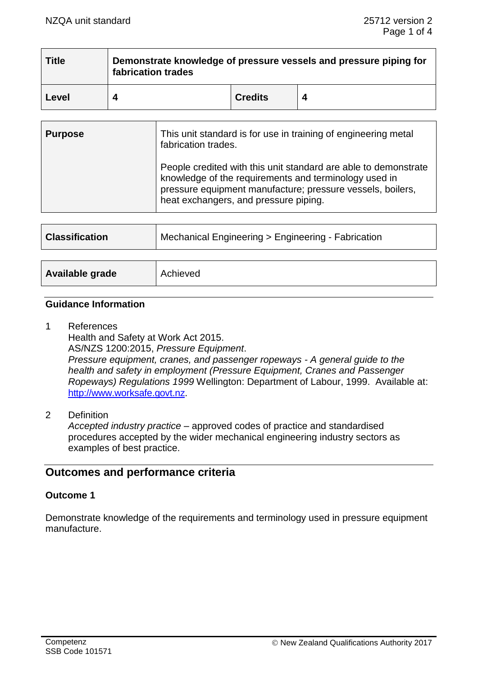| <b>Title</b> | Demonstrate knowledge of pressure vessels and pressure piping for<br>fabrication trades |                |  |
|--------------|-----------------------------------------------------------------------------------------|----------------|--|
| Level        |                                                                                         | <b>Credits</b> |  |

| <b>Purpose</b>        | This unit standard is for use in training of engineering metal<br>fabrication trades.                                                                                                                                           |  |
|-----------------------|---------------------------------------------------------------------------------------------------------------------------------------------------------------------------------------------------------------------------------|--|
|                       | People credited with this unit standard are able to demonstrate<br>knowledge of the requirements and terminology used in<br>pressure equipment manufacture; pressure vessels, boilers,<br>heat exchangers, and pressure piping. |  |
|                       |                                                                                                                                                                                                                                 |  |
| <b>Classification</b> | Mechanical Engineering > Engineering - Fabrication                                                                                                                                                                              |  |
|                       |                                                                                                                                                                                                                                 |  |
|                       |                                                                                                                                                                                                                                 |  |

#### **Guidance Information**

**Available grade** | Achieved

- 1 References Health and Safety at Work Act 2015. AS/NZS 1200:2015, *Pressure Equipment*. *Pressure equipment, cranes, and passenger ropeways - A general guide to the health and safety in employment (Pressure Equipment, Cranes and Passenger Ropeways) Regulations 1999* Wellington: Department of Labour, 1999. Available at: [http://www.worksafe.govt.nz.](http://www.worksafe.govt.nz/)
- 2 Definition

*Accepted industry practice –* approved codes of practice and standardised procedures accepted by the wider mechanical engineering industry sectors as examples of best practice.

# **Outcomes and performance criteria**

# **Outcome 1**

Demonstrate knowledge of the requirements and terminology used in pressure equipment manufacture.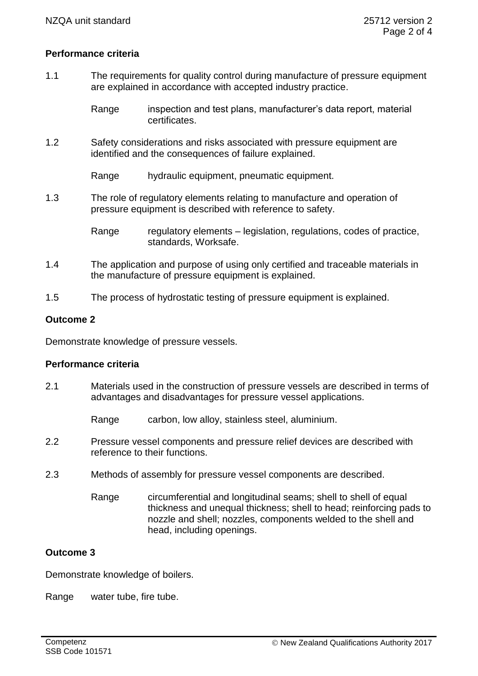# **Performance criteria**

1.1 The requirements for quality control during manufacture of pressure equipment are explained in accordance with accepted industry practice.

> Range inspection and test plans, manufacturer's data report, material certificates.

1.2 Safety considerations and risks associated with pressure equipment are identified and the consequences of failure explained.

Range hydraulic equipment, pneumatic equipment,

1.3 The role of regulatory elements relating to manufacture and operation of pressure equipment is described with reference to safety.

> Range regulatory elements – legislation, regulations, codes of practice, standards, Worksafe.

- 1.4 The application and purpose of using only certified and traceable materials in the manufacture of pressure equipment is explained.
- 1.5 The process of hydrostatic testing of pressure equipment is explained.

# **Outcome 2**

Demonstrate knowledge of pressure vessels.

#### **Performance criteria**

- 2.1 Materials used in the construction of pressure vessels are described in terms of advantages and disadvantages for pressure vessel applications.
	- Range carbon, low alloy, stainless steel, aluminium.
- 2.2 Pressure vessel components and pressure relief devices are described with reference to their functions.
- 2.3 Methods of assembly for pressure vessel components are described.
	- Range circumferential and longitudinal seams; shell to shell of equal thickness and unequal thickness; shell to head; reinforcing pads to nozzle and shell; nozzles, components welded to the shell and head, including openings.

# **Outcome 3**

Demonstrate knowledge of boilers.

Range water tube, fire tube.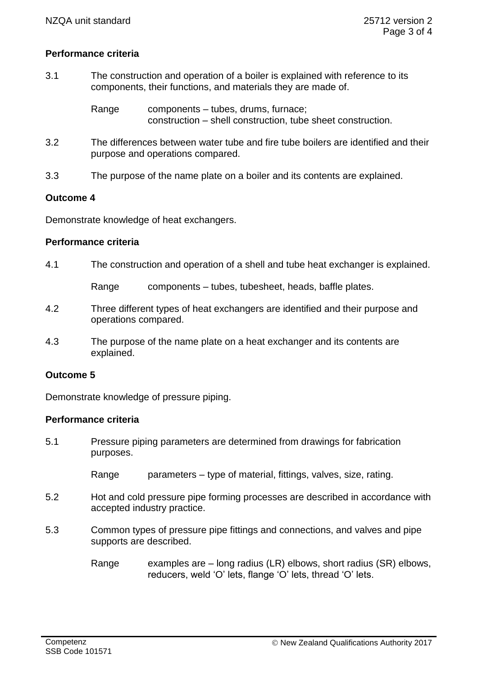# **Performance criteria**

3.1 The construction and operation of a boiler is explained with reference to its components, their functions, and materials they are made of.

> Range components – tubes, drums, furnace; construction – shell construction, tube sheet construction.

- 3.2 The differences between water tube and fire tube boilers are identified and their purpose and operations compared.
- 3.3 The purpose of the name plate on a boiler and its contents are explained.

# **Outcome 4**

Demonstrate knowledge of heat exchangers.

#### **Performance criteria**

4.1 The construction and operation of a shell and tube heat exchanger is explained.

Range components – tubes, tubesheet, heads, baffle plates.

- 4.2 Three different types of heat exchangers are identified and their purpose and operations compared.
- 4.3 The purpose of the name plate on a heat exchanger and its contents are explained.

# **Outcome 5**

Demonstrate knowledge of pressure piping.

# **Performance criteria**

5.1 Pressure piping parameters are determined from drawings for fabrication purposes.

Range barameters – type of material, fittings, valves, size, rating.

- 5.2 Hot and cold pressure pipe forming processes are described in accordance with accepted industry practice.
- 5.3 Common types of pressure pipe fittings and connections, and valves and pipe supports are described.
	- Range examples are long radius (LR) elbows, short radius (SR) elbows, reducers, weld 'O' lets, flange 'O' lets, thread 'O' lets.